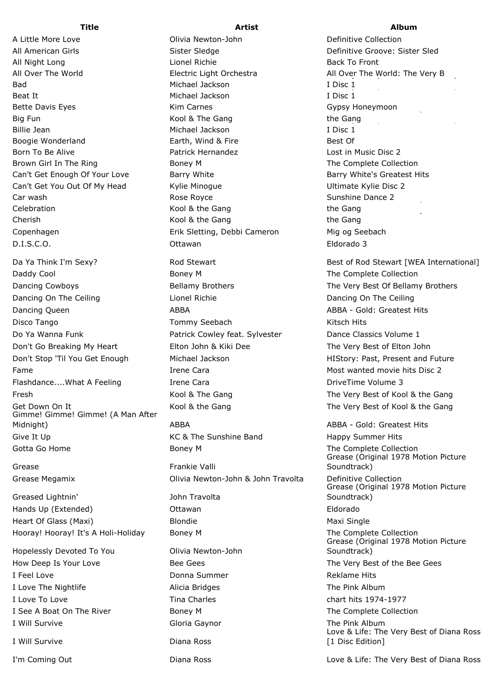A Little More Love **Collection** Olivia Newton-John **Definitive Collection** All American Girls Subsetted Sister Sledge Sister Sledge Sister Sledge Definitive Groove: Sister Sled All Night Long **Lionel Richie Back To Front** Lionel Richie Back To Front Bad Michael Jackson Beat It Michael Jackson Big Fun Kool & The Gang Billie Jean Michael Jackson Boogie Wonderland **Earth, Wind & Fire** Best Of Best Of Born To Be Alive Patrick Hernandez Lost in Music Disc 2 Brown Girl In The Ring The Ring Boney M The Complete Collection Can't Get Enough Of Your Love Barry White Barry White Barry White's Greatest Hits Can't Get You Out Of My Head Kylie Minogue New Your Business Ultimate Kylie Disc 2 Celebration Celebration Celebration Celebration Cherish Kool & the Gang Copenhagen **Erik Sletting, Debbi Cameron** Mig og Seebach

Daddy Cool **Boney M** Boney M The Complete Collection Dancing Cowboys **Bellamy Brothers** The Very Best Of Bellamy Brothers **The Very Best Of Bellamy Brothers** Dancing On The Ceiling The Lionel Richie Communication Chancing On The Ceiling Dancing On The Ceiling Dancing Queen **ABBA** ABBA ABBA ABBA ABBA - Gold: Greatest Hits Disco Tango Tommy Seebach Kitsch Hits Do Ya Wanna Funk **Patrick Cowley feat. Sylvester** Dance Classics Volume 1 Don't Go Breaking My Heart Elton John & Kiki Dee The Very Best of Elton John Don't Stop 'Til You Get Enough Michael Jackson HIStory: Past, Present and Future Fame The Irene Cara Trene Cara Most wanted movie hits Disc 2 Flashdance....What A Feeling Trene Cara Trene Cara Cara DriveTime Volume 3 Fresh The Very Best of Kool & the Gang The Very Best of Kool & the Gang Get Down On It **Kool & the Gang** Get Down On It Alleman Assembly Kool & the Gang The Very Best of Kool & the Gang Gimme! Gimme! Gimme! (A Man After Midnight) **ABBA** ABBA ABBA ABBA ABBA - Gold: Greatest Hits Give It Up **KC & The Sunshine Band** Happy Summer Hits Gotta Go Home **Boney M** Boney M The Complete Collection

Greased Lightnin' John Travolta Hands Up (Extended) Ottawan Eldorado Heart Of Glass (Maxi) **Blondie** Maxi Single Maxi Single Hooray! Hooray! It's A Holi-Holiday Boney M The Complete Collection

Hopelessly Devoted To You **Olivia Newton-John** I Feel Love **Donna Summer** Reklame Hits **Donna Summer** I Love The Nightlife **Alicia Bridges** Alicia Bridges The Pink Album I Love To Love **The Charles** Charles chart hits 1974-1977 I See A Boat On The River **Boney M** The Complete Collection I Will Survive **Gloria Gaynor** Gloria Gaynor The Pink Album

D.I.S.C.O. Ottawan Eldorado 3 Grease **Frankie Valli** Grease Megamix Olivia Newton-John & John Travolta Definitive Collection

I Will Survive **Diana Ross** 

**Title Artist Album**

All Over The World Electric Light Orchestra All Over The World: The Very B HIStory: Past, Present and Future, Book I Disc 1 I Disc 1 Bette Davis Eyes **Kim Carnes** Gypsy Honeymoon Communications of Communications of The Very Best of The Very Best o the Gang I Disc 1 Car wash **Rose Royce Sunshine Dance 2** and It: The Very Best of The Very Best of The Very Best of The Very Best o the Gang the Gang Da Ya Think I'm Sexy? The Sextern Rod Stewart Communist Communist Best of Rod Stewart [WEA International]

Grease (Original 1978 Motion Picture Soundtrack) Grease (Original 1978 Motion Picture Soundtrack) Grease (Original 1978 Motion Picture Soundtrack) How Deep Is Your Love The Very Bee Gees The Very Best of the Bee Gees The Very Best of the Bee Gees Love & Life: The Very Best of Diana Ross [1 Disc Edition]

I'm Coming Out **Love & Life: The Very Best of Diana Ross** Love & Life: The Very Best of Diana Ross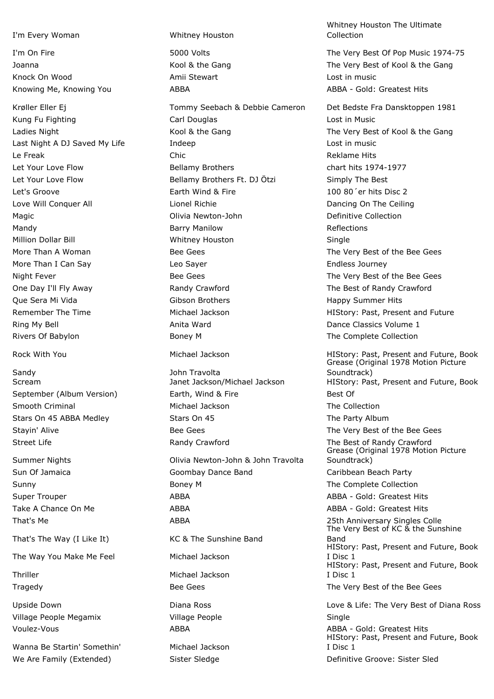I'm Every Woman Whitney Houston

Knock On Wood **Amii Stewart** Amii Stewart Christian Music Cost in music

Sandy **Sandy John Travolta** 

That's The Way (I Like It) KC & The Sunshine Band

The Way You Make Me Feel Michael Jackson

Wanna Be Startin' Somethin' Michael Jackson We Are Family (Extended) Sister Sledge Sister Sledge Befinitive Groove: Sister Sledge

Kung Fu Fighting Carl Douglas Carl Douglas Carl Lost in Music Ladies Night The Wool & the Gang The Very Best of Kool & the Gang The Very Best of Kool & the Gang Last Night A DJ Saved My Life The Indeep Lost in music Le Freak Chic Chic Chic Reklame Hits Let Your Love Flow Bellamy Brothers chart hits 1974-1977 Let Your Love Flow Bellamy Brothers Ft. DJ Ötzi Simply The Best Let's Groove **Earth Wind & Fire** 2 and 200 80<sup>'</sup>er hits Disc 2 Love Will Conquer All **Lionel Richie** Dancing On The Ceiling Dancing On The Ceiling Magic Olivia Newton-John Definitive Collection Mandy **Barry Manilow** Barry Manilow Reflections Million Dollar Bill Whitney Houston Single More Than A Woman The Very Bee Gees The Very Best of the Bee Gees The Very Best of the Bee Gees More Than I Can Say **Leo Sayer** Leo Sayer **Endless Journey** Night Fever **Bee Gees** Bee Gees The Very Best of the Bee Gees The Very Best of the Bee Gees One Day I'll Fly Away **Randy Crawford** Crawford The Best of Randy Crawford Que Sera Mi Vida Gibson Brothers Happy Summer Hits Remember The Time The Time The Time Michael Jackson The State HIStory: Past, Present and Future Ring My Bell Anita Ward Dance Classics Volume 1 Rivers Of Babylon **Boney M** Boney M Boney M The Complete Collection

September (Album Version) **Earth, Wind & Fire** Best Of Best Of Smooth Criminal **Smooth Criminal** Michael Jackson **The Collection** Stars On 45 ABBA Medley Stars On 45 Stars On 45 Stayin' Alive **Stayin'** Alive Bee Gees **Bee Gees** The Very Best of the Bee Gees Street Life **Randy Crawford** Randy Crawford The Best of Randy Crawford

Summer Nights Olivia Newton-John & John Travolta Sun Of Jamaica **Goombay Dance Band** Caribbean Beach Party Sunny **Sunny Sunny Sunny Boney M** Boney M **The Complete Collection** Super Trouper **ABBA** ABBA ABBA ABBA - Gold: Greatest Hits Take A Chance On Me **ABBA** ABBA ABBA ABBA - Gold: Greatest Hits That's Me **ABBA** 25th Anniversary Singles Colle Thriller Michael Jackson Tragedy **Bee Gees** The Very Best of the Bee Gees The Very Best of the Bee Gees Village People Megamix **Village People** Single Voulez-Vous **ABBA ABBA - Gold: Greatest Hits** ABBA - Gold: Greatest Hits

Whitney Houston The Ultimate Collection

I'm On Fire The Very Best Of Pop Music 1974-75 Joanna The Very Best of Kool & the Gang The Very Best of Kool & the Gang Knowing Me, Knowing You **ABBA** ABBA ABBA ABBA - Gold: Greatest Hits

Krøller Eller Ej Tommy Seebach & Debbie Cameron Det Bedste Fra Dansktoppen 1981

Rock With You **Michael Jackson** Michael Jackson HIStory: Past, Present and Future, Book Grease (Original 1978 Motion Picture Soundtrack) Scream Table 3 and Janet Jackson/Michael Jackson HIStory: Past, Present and Future, Book Grease (Original 1978 Motion Picture Soundtrack)

The Very Best of KC & the Sunshine Band HIStory: Past, Present and Future, Book I Disc 1 HIStory: Past, Present and Future, Book I Disc 1 Upside Down Diana Ross Love & Life: The Very Best of Diana Ross HIStory: Past, Present and Future, Book

I Disc 1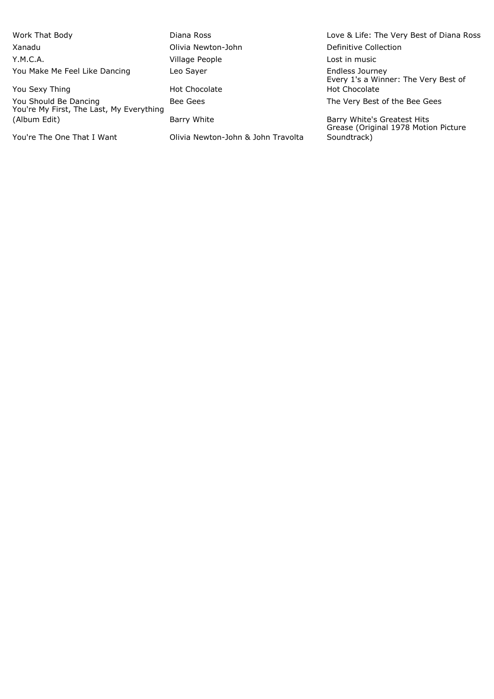Xanadu Olivia Newton-John Definitive Collection Y.M.C.A. Village People Lost in music You Make Me Feel Like Dancing Leo Sayer

You Should Be Dancing **Bee Gees** Bee Gees The Very Best of the Bee Gees You're My First, The Last, My Everything (Album Edit) Barry White Barry White's Greatest Hits

You're The One That I Want Colivia Newton-John & John Travolta

You Sexy Thing Thing The Sexy Thing The Sexy Thing The Sexy Thing The Sexy Thing The Sexy Thing The Sexy Thing T

Work That Body **Communist Communist Communist Communist Communist Communist Communist Communist Communist Communist Communist Communist Communist Communist Communist Communist Communist Communist Communist Communist Commun** Endless Journey<br>Every 1's a Winner: The Very Best of Hot Chocolate

> Grease (Original 1978 Motion Picture Soundtrack)